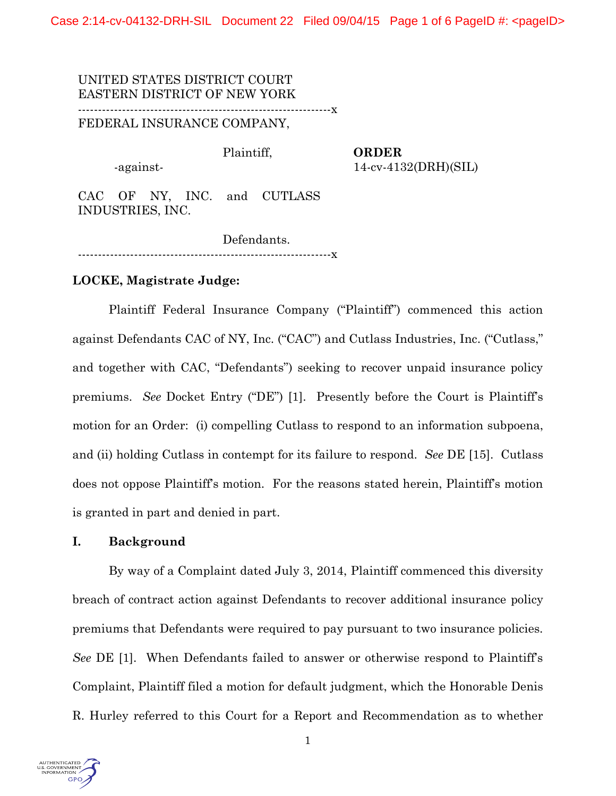Case 2:14-cv-04132-DRH-SIL Document 22 Filed 09/04/15 Page 1 of 6 PageID #: <pageID>

UNITED STATES DISTRICT COURT EASTERN DISTRICT OF NEW YORK ---------------------------------------------------------------x FEDERAL INSURANCE COMPANY,

Plaintiff,

-against-

**ORDER** 14-cv-4132(DRH)(SIL)

CAC OF NY, INC. and CUTLASS INDUSTRIES, INC.

Defendants. ---------------------------------------------------------------x

### **LOCKE, Magistrate Judge:**

Plaintiff Federal Insurance Company ("Plaintiff") commenced this action against Defendants CAC of NY, Inc. ("CAC") and Cutlass Industries, Inc. ("Cutlass," and together with CAC, "Defendants") seeking to recover unpaid insurance policy premiums. *See* Docket Entry ("DE") [1]. Presently before the Court is Plaintiff's motion for an Order: (i) compelling Cutlass to respond to an information subpoena, and (ii) holding Cutlass in contempt for its failure to respond. *See* DE [15]. Cutlass does not oppose Plaintiff's motion. For the reasons stated herein, Plaintiff's motion is granted in part and denied in part.

### **I. Background**

By way of a Complaint dated July 3, 2014, Plaintiff commenced this diversity breach of contract action against Defendants to recover additional insurance policy premiums that Defendants were required to pay pursuant to two insurance policies. *See* DE [1]. When Defendants failed to answer or otherwise respond to Plaintiff's Complaint, Plaintiff filed a motion for default judgment, which the Honorable Denis R. Hurley referred to this Court for a Report and Recommendation as to whether

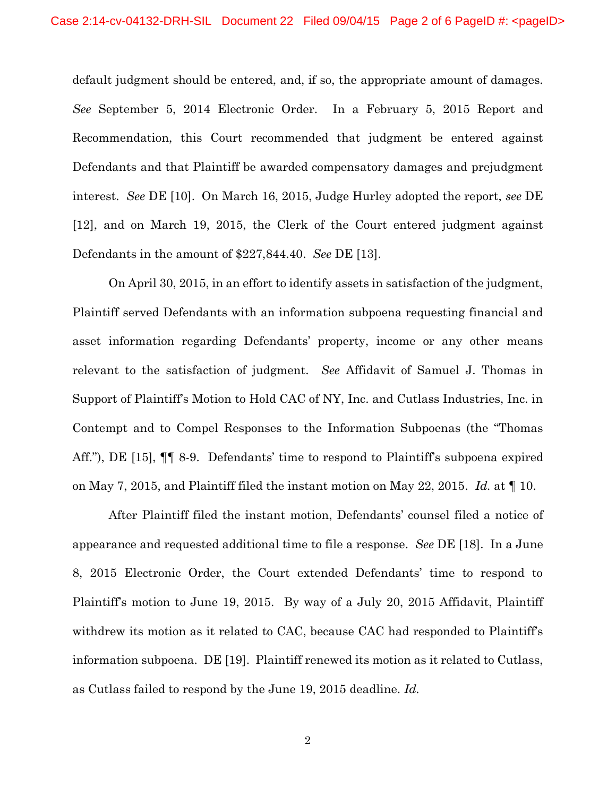default judgment should be entered, and, if so, the appropriate amount of damages. *See* September 5, 2014 Electronic Order. In a February 5, 2015 Report and Recommendation, this Court recommended that judgment be entered against Defendants and that Plaintiff be awarded compensatory damages and prejudgment interest. *See* DE [10]. On March 16, 2015, Judge Hurley adopted the report, *see* DE [12], and on March 19, 2015, the Clerk of the Court entered judgment against Defendants in the amount of \$227,844.40. *See* DE [13].

On April 30, 2015, in an effort to identify assets in satisfaction of the judgment, Plaintiff served Defendants with an information subpoena requesting financial and asset information regarding Defendants' property, income or any other means relevant to the satisfaction of judgment. *See* Affidavit of Samuel J. Thomas in Support of Plaintiff's Motion to Hold CAC of NY, Inc. and Cutlass Industries, Inc. in Contempt and to Compel Responses to the Information Subpoenas (the "Thomas Aff."), DE [15], ¶¶ 8-9. Defendants' time to respond to Plaintiff's subpoena expired on May 7, 2015, and Plaintiff filed the instant motion on May 22, 2015. *Id.* at ¶ 10.

After Plaintiff filed the instant motion, Defendants' counsel filed a notice of appearance and requested additional time to file a response. *See* DE [18]. In a June 8, 2015 Electronic Order, the Court extended Defendants' time to respond to Plaintiff's motion to June 19, 2015. By way of a July 20, 2015 Affidavit, Plaintiff withdrew its motion as it related to CAC, because CAC had responded to Plaintiff's information subpoena. DE [19]. Plaintiff renewed its motion as it related to Cutlass, as Cutlass failed to respond by the June 19, 2015 deadline. *Id.*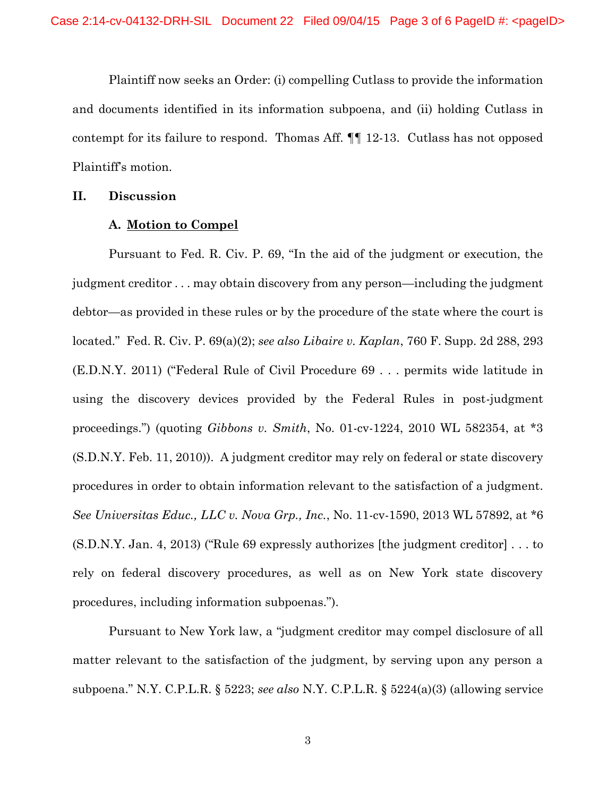Plaintiff now seeks an Order: (i) compelling Cutlass to provide the information and documents identified in its information subpoena, and (ii) holding Cutlass in contempt for its failure to respond. Thomas Aff. ¶¶ 12-13. Cutlass has not opposed Plaintiff's motion.

## **II. Discussion**

#### **A. Motion to Compel**

Pursuant to Fed. R. Civ. P. 69, "In the aid of the judgment or execution, the judgment creditor . . . may obtain discovery from any person—including the judgment debtor—as provided in these rules or by the procedure of the state where the court is located." Fed. R. Civ. P. 69(a)(2); *see also Libaire v. Kaplan*, 760 F. Supp. 2d 288, 293 (E.D.N.Y. 2011) ("Federal Rule of Civil Procedure 69 . . . permits wide latitude in using the discovery devices provided by the Federal Rules in post-judgment proceedings.") (quoting *Gibbons v. Smith*, No. 01-cv-1224, 2010 WL 582354, at \*3 (S.D.N.Y. Feb. 11, 2010)). A judgment creditor may rely on federal or state discovery procedures in order to obtain information relevant to the satisfaction of a judgment. *See Universitas Educ., LLC v. Nova Grp., Inc.*, No. 11-cv-1590, 2013 WL 57892, at \*6 (S.D.N.Y. Jan. 4, 2013) ("Rule 69 expressly authorizes [the judgment creditor] . . . to rely on federal discovery procedures, as well as on New York state discovery procedures, including information subpoenas.").

Pursuant to New York law, a "judgment creditor may compel disclosure of all matter relevant to the satisfaction of the judgment, by serving upon any person a subpoena." N.Y. C.P.L.R. § 5223; *see also* N.Y. C.P.L.R. § 5224(a)(3) (allowing service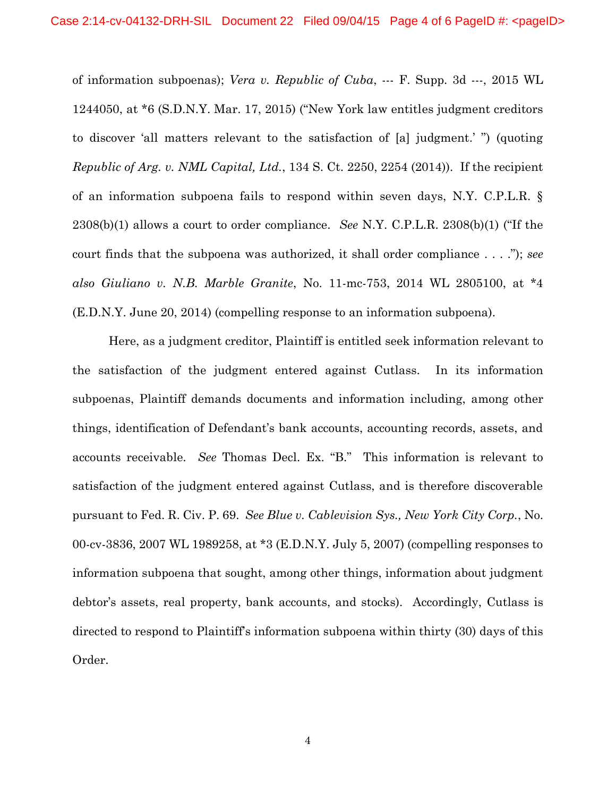of information subpoenas); *Vera v. Republic of Cuba*, --- F. Supp. 3d ---, 2015 WL 1244050, at \*6 (S.D.N.Y. Mar. 17, 2015) ("New York law entitles judgment creditors to discover 'all matters relevant to the satisfaction of [a] judgment.' ") (quoting *Republic of Arg. v. NML Capital, Ltd.*, 134 S. Ct. 2250, 2254 (2014)). If the recipient of an information subpoena fails to respond within seven days, N.Y. C.P.L.R. § 2308(b)(1) allows a court to order compliance. *See* N.Y. C.P.L.R. 2308(b)(1) ("If the court finds that the subpoena was authorized, it shall order compliance . . . ."); *see also Giuliano v. N.B. Marble Granite*, No. 11-mc-753, 2014 WL 2805100, at \*4 (E.D.N.Y. June 20, 2014) (compelling response to an information subpoena).

Here, as a judgment creditor, Plaintiff is entitled seek information relevant to the satisfaction of the judgment entered against Cutlass. In its information subpoenas, Plaintiff demands documents and information including, among other things, identification of Defendant's bank accounts, accounting records, assets, and accounts receivable. *See* Thomas Decl. Ex. "B." This information is relevant to satisfaction of the judgment entered against Cutlass, and is therefore discoverable pursuant to Fed. R. Civ. P. 69. *See Blue v. Cablevision Sys., New York City Corp.*, No. 00-cv-3836, 2007 WL 1989258, at \*3 (E.D.N.Y. July 5, 2007) (compelling responses to information subpoena that sought, among other things, information about judgment debtor's assets, real property, bank accounts, and stocks). Accordingly, Cutlass is directed to respond to Plaintiff's information subpoena within thirty (30) days of this Order.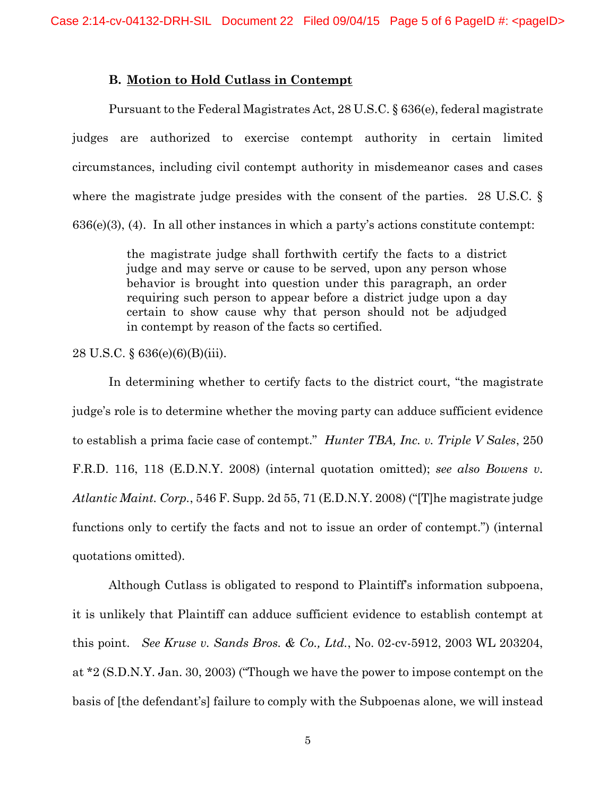## **B. Motion to Hold Cutlass in Contempt**

Pursuant to the Federal Magistrates Act, 28 U.S.C. § 636(e), federal magistrate judges are authorized to exercise contempt authority in certain limited circumstances, including civil contempt authority in misdemeanor cases and cases where the magistrate judge presides with the consent of the parties. 28 U.S.C. § 636(e)(3), (4). In all other instances in which a party's actions constitute contempt:

> the magistrate judge shall forthwith certify the facts to a district judge and may serve or cause to be served, upon any person whose behavior is brought into question under this paragraph, an order requiring such person to appear before a district judge upon a day certain to show cause why that person should not be adjudged in contempt by reason of the facts so certified.

28 U.S.C. § 636(e)(6)(B)(iii).

In determining whether to certify facts to the district court, "the magistrate judge's role is to determine whether the moving party can adduce sufficient evidence to establish a prima facie case of contempt." *Hunter TBA, Inc. v. Triple V Sales*, 250 F.R.D. 116, 118 (E.D.N.Y. 2008) (internal quotation omitted); *see also Bowens v. Atlantic Maint. Corp.*, 546 F. Supp. 2d 55, 71 (E.D.N.Y. 2008) ("[T]he magistrate judge functions only to certify the facts and not to issue an order of contempt.") (internal quotations omitted).

Although Cutlass is obligated to respond to Plaintiff's information subpoena, it is unlikely that Plaintiff can adduce sufficient evidence to establish contempt at this point. *See Kruse v. Sands Bros. & Co., Ltd.*, No. 02-cv-5912, 2003 WL 203204, at \*2 (S.D.N.Y. Jan. 30, 2003) ("Though we have the power to impose contempt on the basis of [the defendant's] failure to comply with the Subpoenas alone, we will instead